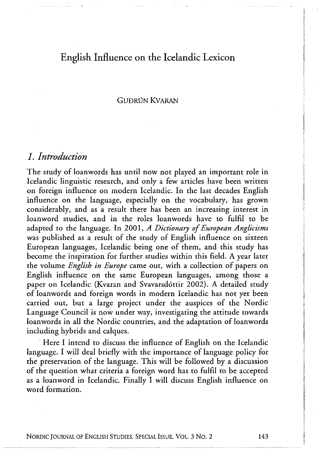### GU<del>D</del>RIN **KVARAN**

### *1. Introduction*

The study of loanwords has until now not played an important role in Icelandic linguistic research, and only a few articles have been written on foreign influence on modern Icelandic. In the last decades English influence on the language, especially on the vocabulary, has grown considerably, and as a result there has been an increasing interest in loanword studies, and in the roles loanwords have to fulfil to be adapted to the language. In 2001 , *<sup>A</sup> Dictionary of European Anglicisms*  was published as a result of the study of English influence on sixteen European languages, Icelandic being one of them, and this study has become the inspiration for further studies within this field. A year later the volume *English in Europe* came out, with a collection of papers on English influence on the same European languages, among those a paper on Icelandic (Kvaran and Svavarsdóttir 2002). A detailed study of loanwords and foreign words in modern Icelandic has not yet been carried out, but a large project under the auspices of the Nordic Language Council is now under way, investigating the attitude towards loanwords in all the Nordic countries, and the adaptation of loanwords including hybrids and caiques.

Here I intend to discuss the influence of English on the Icelandic language. I will deal briefly with the importance of language policy for the preservation of the language. This will be followed by a discussion of the question what criteria a foreign word has to fulfil to be accepted as a loanword in Icelandic. Finally I will discuss English influence on word formation.

NORDIC JOURNAL OF ENGLISH STUDIES. SPECIAL ISSUE. VOL. 3 NO. 2 143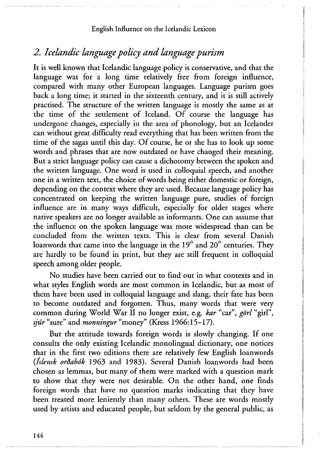# *2. Icelandic language policy and language purism*

It is well known that Icelandic language policy is conservative, and that the language was for a long time relatively free from foreign influence, compared with many other European languages. Language purism goes back a long time; it started in the sixteenth century, and it is still actively practised. The structure of the written language is mostly the same as at the time of the settlement of Iceland. Of course the language has undergone changes, especially in the area of phonology, but an Icelander can without great difficulty read everything that has been written from the time of the sagas until this day. Of course, he or she has to look up some words and phrases that are now outdated or have changed their meaning. But a strict language policy can cause a dichotomy between the spoken and the written language. One word is used in colloquial speech, and another one in a written text, the choice of words being either domestic or foreign, depending on the context where they are used. Because language policy has concentrated on keeping the written language pure, studies of foreign influence are in many ways difficult, especially for older stages where native speakers are no longer available as informants. One can assume that the influence on the spoken language was more widespread than can be concluded from the written texts. This is clear from several Danish loanwords that came into the language in the 19<sup>th</sup> and 20<sup>th</sup> centuries. They are hardly to be found in print, but they are still frequent in colloquial speech among older people.

No studies have been carried out to find out in what contexts and in what styles English words are most common in Icelandic, but as most of them have been used in colloquial language and slang, their fate has been to become outdated and forgotten. Thus, many words that were very common during World War II no longer exist, e.g. *kar* "car", *görl* "girl", *sjúr* "sure" and *monningur* "money" (Kress 1966:15-17).

But the attitude towards foreign words is slowly changing. If one consults the only existing Icelandic monolingual dictionary, one notices that in the first two editions there are relatively few English loanwords *{fslensk orðabók* 1963 and 1983). Several Danish loanwords had been chosen as lemmas, but many of them were marked with a question mark to show that they were not desirable. On the other hand, one finds foreign words that have no question marks indicating that they have been treated more leniently than many others. These are words mostly used by artists and educated people, but seldom by the general public, as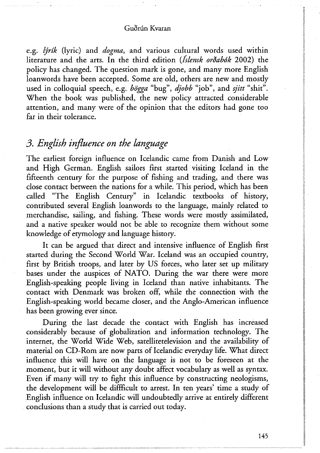e.g. *lýrík* (lyric) and *dogma,* and various cultural words used within literature and the arts. In the third edition *(Islensk orðabók* 2002) the policy has changed. The question mark is gone, and many more English loanwords have been accepted. Some are old, others are new and mostly used in colloquial speech, e.g. *bögga* "bug", *djobb* "job", and *sjitt* "shit". When the book was published, the new policy attracted considerable attention, and many were of the opinion that the editors had gone too far in their tolerance.

# *3. English influence on the language*

The earliest foreign influence on Icelandic came from Danish and Low and High German. English sailors first started visiting Iceland in the fifteenth century for the purpose of fishing and trading, and there was close contact between the nations for a while. This period, which has been called "The English Century" in Icelandic textbooks of history, contributed several English loanwords to the language, mainly related to merchandise, sailing, and fishing. These words were mostly assimilated, and a native speaker would not be able to recognize them without some knowledge of etymology and language history.

It can be argued that direct and intensive influence of English first started during the Second World War. Iceland was an occupied country, first by British troops, and later by US forces, who later set up military bases under the auspices of NATO. During the war there were more English-speaking people living in Iceland than native inhabitants. The contact with Denmark was broken off, while the connection with the English-speaking world became closer, and the Anglo-American influence has been growing ever since.

During the last decade the contact with English has increased considerably because of globalization and information technology. The internet, the World Wide Web, satellitetelevision and the availability of material on CD-Rom are now parts of Icelandic everyday life. What direct influence this will have on the language is not to be foreseen at the moment, but it will without any doubt affect vocabulary as well as syntax. Even if many will try to fight this influence by constructing neologisms, the development will be diffficult to arrest. In ten years' time a study of English influence on Icelandic will undoubtedly arrive at entirely different conclusions than a study that is carried out today.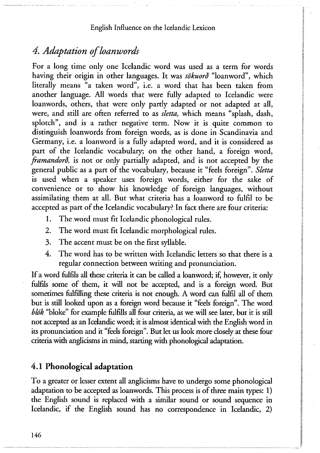# *4. Adaptation of loanwords*

For a long time only one Icelandic word was used as a term for words having their origin in other languages. It was *tökuorð* "loanword", which literally means "a taken word", i.e. a word that has been taken from another language. All words that were fully adapted to Icelandic were loanwords, others, that were only partly adapted or not adapted at all, were, and still are often referred to as *sletta,* which means "splash, dash, splotch", and is a rather negative term. Now it is quite common to distinguish loanwords from foreign words, as is done in Scandinavia and Germany, i.e. a loanword is a fully adapted word, and it is considered as part of the Icelandic vocabulary; on the other hand, a foreign word, *framandorð,* is not or only partially adapted, and is not accepted by the general public as a part of the vocabulary, because it "feels foreign". *Sletta*  is used when a speaker uses foreign words, either for the sake of convenience or to show his knowledge of foreign languages, without assimilating them at all. But what criteria has a loanword to fulfil to be accepted as part of the Icelandic vocabulary? In fact there are four criteria:

- 1. The word must fit Icelandic phonological rules.
- 2. The word must fit Icelandic morphological rules.
- 3. The accent must be on the first syllable.
- 4. The word has to be written with Icelandic letters so that there is a regular connection between writing and pronunciation.

If a word fulfils all these criteria it can be called a loanword; if, however, it only fulfils some of them, it will not be accepted, and is a foreign word. But sometimes fulfilling these criteria is not enough. A word can fulfil all of them but is still looked upon as a foreign word because it "feels foreign". The word *blók* "bloke" for example fulfills all four criteria, as we will see later, but it is still not accepted as an Icelandic word; it is almost identical with the English word in its pronunciation and it "feels foreign". But let us look more closely at these four criteria with anglicisms in mind, starting with phonological adaptation.

### **4 . 1 Phonologica l adaptation**

To a greater or lesser extent all anglicisms have to undergo some phonological adaptation to be accepted as loanwords. This process is of three main types: 1) the English sound is replaced with a similar sound or sound sequence in Icelandic, if the English sound has no correspondence in Icelandic, 2)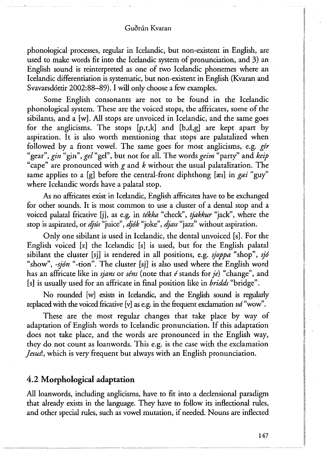phonological processes, regular in Icelandic, but non-existent in English, are used to make words fit into the Icelandic system of pronunciation, and 3) an English sound is reinterpreted as one of two Icelandic phonemes where an Icelandic differentiation is systematic, but non-existent in English (Kvaran and Svavarsdóttir 2002:88—89). I will only choose a few examples.

Some English consonants are not to be found in the Icelandic phonological system. These are the voiced stops, the affricates, some of the sibilants, and a [w]. All stops are unvoiced in Icelandic, and the same goes for the anglicisms. The stops  $[p,t,k]$  and  $[b,d,g]$  are kept apart by aspiration. It is also worth mentioning that stops are palatalized when followed by a front vowel. The same goes for most anglicisms, e.g. *gir*  "gear", *gin* "gin", *gel* "gel", but not for all. The words *geim* "party" and *keip*  "cape" are pronounced with *<sup>g</sup>* and *<sup>k</sup>* without the usual palatalization. The same applies to a [g] before the central-front diphthong [xe] in gei "guy" where Icelandic words have a palatal stop.

As no affricates exist in Icelandic, English affricates have to be exchanged for other sounds. It is most common to use a cluster of a dental stöp and a voiced palatal fricative [j], as e.g. in *tékka* "check", *tjakkur* "jack", where the stop is aspirated, or *djús* "juice", *djók* "joke", *djass "jazz"* without aspiration.

Only one sibilant is used in Icelandic, the dental unvoiced [s]. For the English voiced [z] the Icelandic [s] is used, but for the English palatal sibilant the cluster [sj] is rendered in all positions, e.g. *sjoppa* "shop", *sjó*  "show", *-sjón* "-tion". The cluster [sj] is also used where the English word has an affricate like in *sjans* or *séns* (note that *é* stands for *je*) "change", and [s] is usually used for an affricate in final position like in *bridds* "bridge".

No rounded [w] exists in Icelandic, and the English sound is regularly replaced with the voiced fricative [v] as e.g. in the frequent exclamation *vd* "wow".

These are the most regular changes that take place by way of adaptation of English words to Icelandic pronunciation. If this adaptation does not take place, and the words are pronounced in the English way, they do not count as loanwords. This e.g. is the case with the exclamation *Jesusl,* which is very frequent but always with an English pronunciation.

### **4 . 2 Morphologica l adaptation**

All loanwords, including anglicisms, have to fit into a declensional paradigm that already exists in the language. They have to follow its inflectional rules, and other special rules, such as vowel mutation, if needed. Nouns are inflected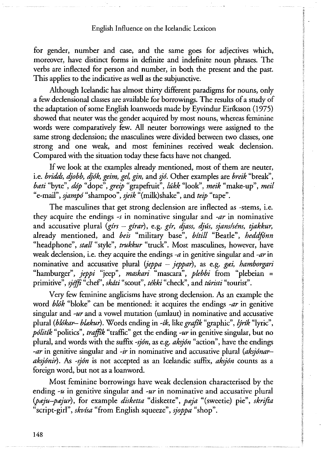for gender, number and case, and the same goes for adjectives which, moreover, have distinct forms in definite and indefinite noun phrases. The verbs are inflected for person and number, in both the present and the past. This applies to the indicative as well as the subjunctive.

Although Icelandic has almost thirty different paradigms for nouns, only a few declensional classes are available for borrowings. The results of a study of the adaptation of some English loanwords made by Eyvindur Eiriksson (1975) showed that neuter was the gender acquired by most nouns, whereas feminine words were comparatively few. All neuter borrowings were assigned to the same strong declension; the masculines were divided between two classes, one strong and one weak, and most feminines received weak declension. Compared with the situation today these facts have not changed.

If we look at the examples already mentioned, most of them are neuter, i.e. *bridds, djobb, djók, geim, gel, gin,* and *sjó.* Other examples are *breik* "break", *bœti* "byte", *dóp* "dope", *greip* "grapefruit", *lúkk* "look", *meik* "make-up", *meil*  "e-mail", *sjampó* "shampoo", *sjeik* "(milk)shake", and *teip* "tape".

The masculines that get strong declension are inflected as -stems, i.e. they acquire the endings *-s* in nominative singular and *-ar* in nominative and accusative plural *{girs — girar),* e.g. *gir, djass, djús, sjans/séns, tjakkur,*  already mentioned, and *beis* "military base", *bitill* "Beatle", *heddfónn*  "headphone", *stall* "style", *trukkur* "truck". Most masculines, however, have weak declension, i.e. they acquire the endings *-a* in genitive singular and *-ar* in nominative and accusative plural *ijeppa — jeppar),* as e.g. *gai, hamborgari*  "hamburger", *jeppi* "jeep", *maskari* "mascara", *plebbi* from "plebeian = primitive", sjéffi<sup>"</sup>chef", skáti "scout", tékki "check", and túristi "tourist".

Very few feminine anglicisms have strong declension. As an example the word *blók* "bloke" can be mentioned: it acquires the endings *-ar* in genitive singular and *-ur* and a vowel mutation (umlaut) in nominative and accusative plural *(blókar— blœkur).* Words ending in *-ik,* like *grafik* "graphic", *lýrik* "lyric", *politik* "politics", *trafftk* "traffic" get the ending *-ur* in genitive singular, but no plural, and words with the suffix *-sjón,* as e.g. *aksjón* "action", have the endings *-ar* in genitive singular and *-ir* in nominative and accusative plural *(aksjónar aksjónir).* As *-sjón* is not accepted as an Icelandic suffix, *aksjón* counts as a foreign word, but not as a loanword.

Most feminine borrowings have weak declension characterised by the ending *-u* in genitive singular and *-ur* in nominative and accusative plural *(pœju—pæjur),* for example *disketta* "diskette", *paja* "(sweetie) pie", *skrifia*  "script-girl", *skvisa* "from English squeeze", *sjoppa* "shop".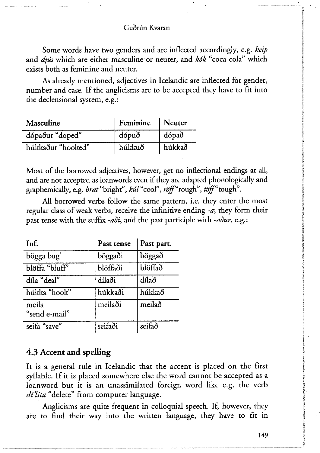Some words have two genders and are inflected accordingly, e.g. *keip*  and *djús* which are either masculine or neuter, and *kók* "coca cola" which exists both as feminine and neuter.

As already mentioned, adjectives in Icelandic are inflected for gender, number and case. If the anglicisms are to be accepted they have to fit into the declensional system, e.g.:

| <b>Masculine</b>  | Feminine | Neuter |
|-------------------|----------|--------|
| dópaður "doped"   | dópuð    | dópað  |
| húkkaður "hooked" | húkkuð   | húkkað |

Most of the borrowed adjectives, however, get no inflectional endings at all, and are not accepted as loanwords even if they are adapted phonologically and graphemically, e.g. *brat* "bright", kut "cool", roff "rough", toff "tough".

All borrowed verbs follow the same pattern, i.e. they enter the most regular class of weak verbs, receive the infinitive ending *-a;* they form their past tense with the suffix *-aði,* and the past participle with *-aður,* e.g.:

| Inf.                   | Past tense | Past part. |
|------------------------|------------|------------|
| bögga bug'             | böggaði    | böggað     |
| blöffa "bluff"         | blöffaði   | blöffað    |
| díla "deal"            | dílaði     | dílað      |
| húkka "hook"           | húkkaði    | húkkað     |
| meila<br>"send e-mail" | meilaði    | meilað     |
| seifa "save"           | seifaði    | seifað     |

### **4 . 3 Accent and spelling**

It is a general rule in Icelandic that the accent is placed on the first syllable. If it is placed somewhere else the word cannot be accepted as a loanword but it is an unassimilated foreign word like e.g. the verb *dí'líta* "delete" from computer language.

Anglicisms are quite frequent in colloquial speech. If, however, they are to find their way into the written language, they have to fit in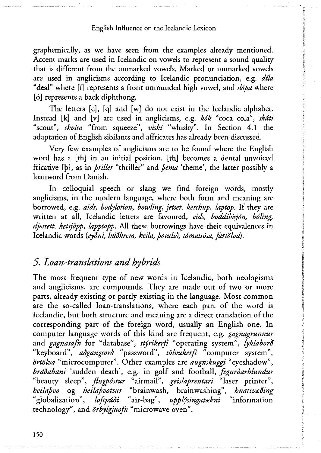graphemically, as we have seen from the examples already mentioned. Accent marks are used in Icelandic on vowels to represent a sound quality that is different from the unmarked vowels. Marked or unmarked vowels are used in anglicisms according to Icelandic pronunciation, e.g. *dtla*  "deal" where [i] represents a front unrounded high vowel, and *dópa* where [6] represents a back diphthong.

The letters [c], [q] and [w] do not exist in the Icelandic alphabet. Instead [k] and [v] are used in anglicisms, e.g. *kók* "coca cola", *skáti*  "scout", *skvisa* "from squeeze", *viski* "whisky". In Section 4**.1** the adaptation of English sibilants and affricates has already been discussed.

Very few examples of anglicisms are to be found where the English word has a [th] in an initial position, [th] becomes a dental unvoiced fricative [þ], as in *þriller* "thriller" and *þema* 'theme', the latter possibly a loanword from Danish.

In colloquial speech or slang we find foreign words, mostly anglicisms, in the modern language, where both form and meaning are borrowed, e.g. *aids, bodylotion, bowling, jetset, ketchup, laptop.* If they are written at all, Icelandic letters are favoured, *eids, boddílósjón, baling, djetsett, ketsjöpp, lapptopp.* All these borrowings have their equivalences in Icelandic words *{eyðni, húðkrem, keila, þotulið, tómatsósa, fartölva).* 

### *5. Loan-translations and hybrids*

The most frequent type of new words in Icelandic, both neologisms and anglicisms, are compounds. They are made out of two or more parts, already existing or partly existing in the language. Most common are the so-called loan-translations, where each part of the word is Icelandic, but both structure and meaning are a direct translation of the corresponding part of the foreign word, usually an English one. In computer language words of this kind are frequent, e.g. *gagnagrunnur*  and *gagnasafh* for "database", *stýrikerfi* "operating system", *lyklaborð*  "keyboard", *aðgangsorð* "password", *tölvukerfi* "computer system", *örtölva* "microcomputer". Other examples are *augnskuggi* "eyeshadow", *bráðabani* 'sudden death', e.g. in golf and football, *fegurðarblundur*  "beauty sleep", *flugpóstur* "airmail", *geislaprentari* "laser printer", *heilaþvo* og *heilaþvottur* "brainwash, brainwashing", *hnattvœðing*  "globalization", *loftpúíi* "air-bag", *upplýsingatakni* "information technology", and *örbylgjuofh* "microwave oven".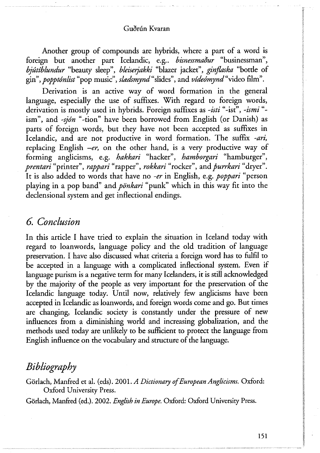Another group of compounds are hybrids, where a part of a word is foreign but another part Icelandic, e.g.. *bisnessmaður* "businessman", *bjútíblundur* "beauty sleep", *bleiserjakki* "blazer jacket", *ginflaska* "botde of gin", *popptónlist"*pop music", *shzdsmynd*"slides", and *vídeómynd*"video film".

Derivation is an active way of word formation in the general language, especially the use of suffixes. With regard to foreign words, derivation is mostly used in hybrids. Foreign suffixes as *-isti* "-ist", *-ismi "* ism", and *-sjön* "-tion" have been borrowed from English (or Danish) as parts of foreign words, but they have not been accepted as suffixes in Icelandic, and are not productive in word formation. The suffix *-ari,*  replacing English *-er,* on the other hand, is a very productive way of forming anglicisms, e.g. *hakkari* "hacker", *hamborgari* "hamburger", *prentari* "printer", *rappari* "rapper", *rokkari* "rocker", and*þurrkari* "dryer". It is also added to words that have no *-er* in English, e.g. *poppari* "person playing in a pop band" and *pönkari* "punk" which in this way fit into the declensional system and get inflectional endings.

# *6. Conclusion*

In this article I have tried to explain the situation in Iceland today with regard to loanwords, language policy and the old tradition of language preservation. I have also discussed what criteria a foreign word has to fulfil to be accepted in a language with a complicated inflectional system. Even if language purism is a negative term for many Icelanders, it is still acknowledged by the majority of the people as very important for the preservation of the Icelandic language today. Until now, relatively few anglicisms have been accepted in Icelandic as loanwords, and foreign words come and go. But times are changing, Icelandic society is constandy under the pressure of new influences from a diminishing world and increasing globalization, and the methods used today are unlikely to be sufficient to protect the language from English influence on the vocabulary and structure of the language.

# *Bibliography*

Görlach, Manfred et al. (eds). 2001. *<sup>A</sup> Dictionary of European Anglicisms.* Oxford: Oxford University Press.

Görlach, Manfred (ed.). 2002. *English in Europe.* Oxford: Oxford University Press.